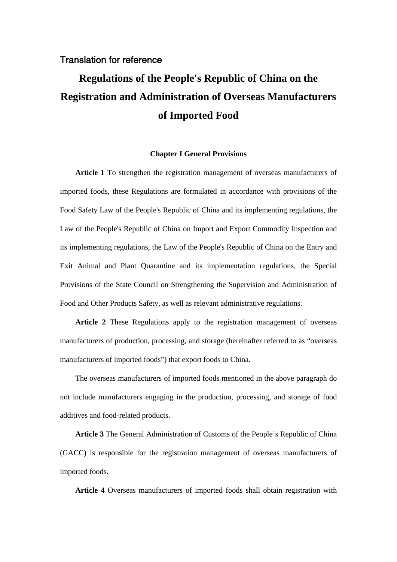## Translation for reference

# **Regulations of the People's Republic of China on the Registration and Administration of Overseas Manufacturers of Imported Food**

### **Chapter I General Provisions**

**Article 1** To strengthen the registration management of overseas manufacturers of imported foods, these Regulations are formulated in accordance with provisions of the Food Safety Law of the People's Republic of China and its implementing regulations, the Law of the People's Republic of China on Import and Export Commodity Inspection and its implementing regulations, the Law of the People's Republic of China on the Entry and Exit Animal and Plant Quarantine and its implementation regulations, the Special Provisions of the State Council on Strengthening the Supervision and Administration of Food and Other Products Safety, as well as relevant administrative regulations.

**Article 2** These Regulations apply to the registration management of overseas manufacturers of production, processing, and storage (hereinafter referred to as "overseas manufacturers of imported foods") that export foods to China.

The overseas manufacturers of imported foods mentioned in the above paragraph do not include manufacturers engaging in the production, processing, and storage of food additives and food-related products.

**Article 3** The General Administration of Customs of the People's Republic of China (GACC) is responsible for the registration management of overseas manufacturers of imported foods.

**Article 4** Overseas manufacturers of imported foods shall obtain registration with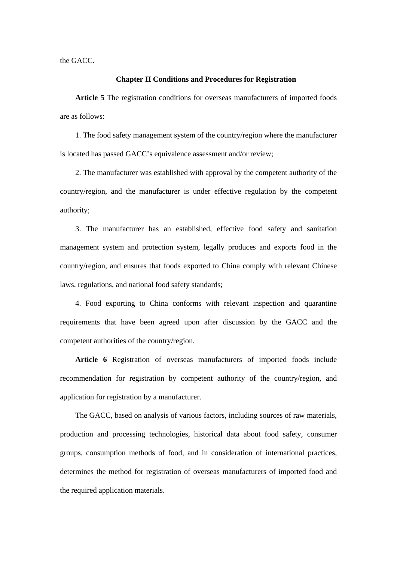the GACC.

#### **Chapter II Conditions and Procedures for Registration**

**Article 5** The registration conditions for overseas manufacturers of imported foods are as follows:

1. The food safety management system of the country/region where the manufacturer is located has passed GACC's equivalence assessment and/or review;

2. The manufacturer was established with approval by the competent authority of the country/region, and the manufacturer is under effective regulation by the competent authority;

3. The manufacturer has an established, effective food safety and sanitation management system and protection system, legally produces and exports food in the country/region, and ensures that foods exported to China comply with relevant Chinese laws, regulations, and national food safety standards;

4. Food exporting to China conforms with relevant inspection and quarantine requirements that have been agreed upon after discussion by the GACC and the competent authorities of the country/region.

**Article 6** Registration of overseas manufacturers of imported foods include recommendation for registration by competent authority of the country/region, and application for registration by a manufacturer.

The GACC, based on analysis of various factors, including sources of raw materials, production and processing technologies, historical data about food safety, consumer groups, consumption methods of food, and in consideration of international practices, determines the method for registration of overseas manufacturers of imported food and the required application materials.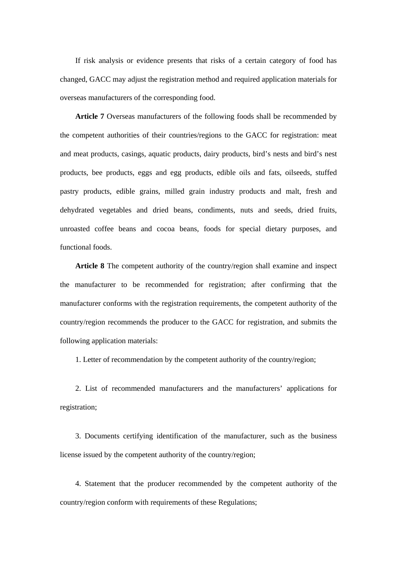If risk analysis or evidence presents that risks of a certain category of food has changed, GACC may adjust the registration method and required application materials for overseas manufacturers of the corresponding food.

**Article 7** Overseas manufacturers of the following foods shall be recommended by the competent authorities of their countries/regions to the GACC for registration: meat and meat products, casings, aquatic products, dairy products, bird's nests and bird's nest products, bee products, eggs and egg products, edible oils and fats, oilseeds, stuffed pastry products, edible grains, milled grain industry products and malt, fresh and dehydrated vegetables and dried beans, condiments, nuts and seeds, dried fruits, unroasted coffee beans and cocoa beans, foods for special dietary purposes, and functional foods.

**Article 8** The competent authority of the country/region shall examine and inspect the manufacturer to be recommended for registration; after confirming that the manufacturer conforms with the registration requirements, the competent authority of the country/region recommends the producer to the GACC for registration, and submits the following application materials:

1. Letter of recommendation by the competent authority of the country/region;

2. List of recommended manufacturers and the manufacturers' applications for registration;

3. Documents certifying identification of the manufacturer, such as the business license issued by the competent authority of the country/region;

4. Statement that the producer recommended by the competent authority of the country/region conform with requirements of these Regulations;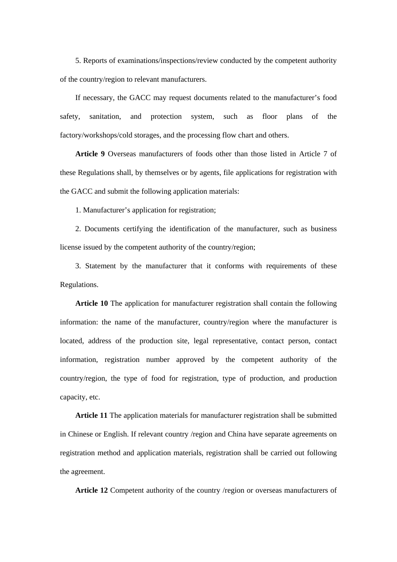5. Reports of examinations/inspections/review conducted by the competent authority of the country/region to relevant manufacturers.

If necessary, the GACC may request documents related to the manufacturer's food safety, sanitation, and protection system, such as floor plans of the factory/workshops/cold storages, and the processing flow chart and others.

**Article 9** Overseas manufacturers of foods other than those listed in Article 7 of these Regulations shall, by themselves or by agents, file applications for registration with the GACC and submit the following application materials:

1. Manufacturer's application for registration;

2. Documents certifying the identification of the manufacturer, such as business license issued by the competent authority of the country/region;

3. Statement by the manufacturer that it conforms with requirements of these Regulations.

**Article 10** The application for manufacturer registration shall contain the following information: the name of the manufacturer, country/region where the manufacturer is located, address of the production site, legal representative, contact person, contact information, registration number approved by the competent authority of the country/region, the type of food for registration, type of production, and production capacity, etc.

**Article 11** The application materials for manufacturer registration shall be submitted in Chinese or English. If relevant country /region and China have separate agreements on registration method and application materials, registration shall be carried out following the agreement.

**Article 12** Competent authority of the country /region or overseas manufacturers of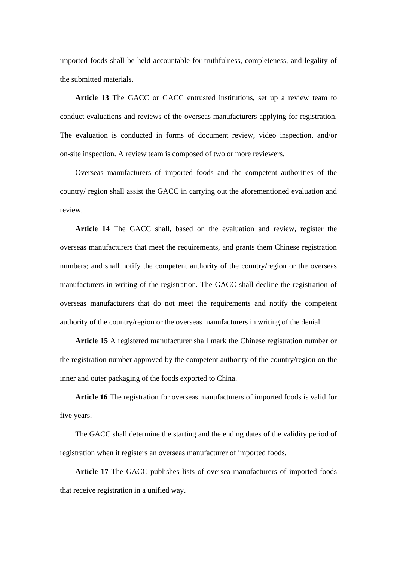imported foods shall be held accountable for truthfulness, completeness, and legality of the submitted materials.

**Article 13** The GACC or GACC entrusted institutions, set up a review team to conduct evaluations and reviews of the overseas manufacturers applying for registration. The evaluation is conducted in forms of document review, video inspection, and/or on-site inspection. A review team is composed of two or more reviewers.

Overseas manufacturers of imported foods and the competent authorities of the country/ region shall assist the GACC in carrying out the aforementioned evaluation and review.

**Article 14** The GACC shall, based on the evaluation and review, register the overseas manufacturers that meet the requirements, and grants them Chinese registration numbers; and shall notify the competent authority of the country/region or the overseas manufacturers in writing of the registration. The GACC shall decline the registration of overseas manufacturers that do not meet the requirements and notify the competent authority of the country/region or the overseas manufacturers in writing of the denial.

**Article 15** A registered manufacturer shall mark the Chinese registration number or the registration number approved by the competent authority of the country/region on the inner and outer packaging of the foods exported to China.

**Article 16** The registration for overseas manufacturers of imported foods is valid for five years.

The GACC shall determine the starting and the ending dates of the validity period of registration when it registers an overseas manufacturer of imported foods.

**Article 17** The GACC publishes lists of oversea manufacturers of imported foods that receive registration in a unified way.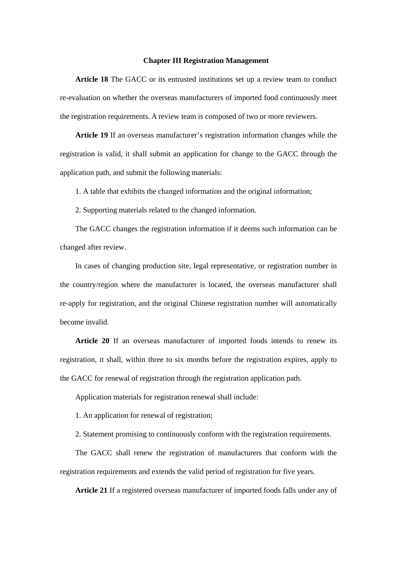#### **Chapter III Registration Management**

**Article 18** The GACC or its entrusted institutions set up a review team to conduct re-evaluation on whether the overseas manufacturers of imported food continuously meet the registration requirements. A review team is composed of two or more reviewers.

**Article 19** If an overseas manufacturer's registration information changes while the registration is valid, it shall submit an application for change to the GACC through the application path, and submit the following materials:

1. A table that exhibits the changed information and the original information;

2. Supporting materials related to the changed information.

The GACC changes the registration information if it deems such information can be changed after review.

In cases of changing production site, legal representative, or registration number in the country/region where the manufacturer is located, the overseas manufacturer shall re-apply for registration, and the original Chinese registration number will automatically become invalid.

**Article 20** If an overseas manufacturer of imported foods intends to renew its registration, it shall, within three to six months before the registration expires, apply to the GACC for renewal of registration through the registration application path.

Application materials for registration renewal shall include:

1. An application for renewal of registration;

2. Statement promising to continuously conform with the registration requirements.

The GACC shall renew the registration of manufacturers that conform with the registration requirements and extends the valid period of registration for five years.

**Article 21** If a registered overseas manufacturer of imported foods falls under any of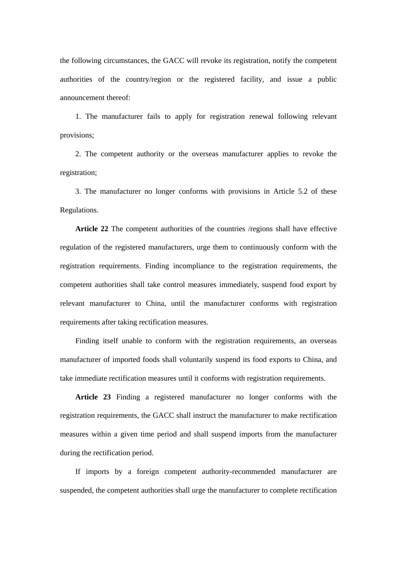the following circumstances, the GACC will revoke its registration, notify the competent authorities of the country/region or the registered facility, and issue a public announcement thereof:

1. The manufacturer fails to apply for registration renewal following relevant provisions;

2. The competent authority or the overseas manufacturer applies to revoke the registration;

3. The manufacturer no longer conforms with provisions in Article 5.2 of these Regulations.

**Article 22** The competent authorities of the countries /regions shall have effective regulation of the registered manufacturers, urge them to continuously conform with the registration requirements. Finding incompliance to the registration requirements, the competent authorities shall take control measures immediately, suspend food export by relevant manufacturer to China, until the manufacturer conforms with registration requirements after taking rectification measures.

Finding itself unable to conform with the registration requirements, an overseas manufacturer of imported foods shall voluntarily suspend its food exports to China, and take immediate rectification measures until it conforms with registration requirements.

**Article 23** Finding a registered manufacturer no longer conforms with the registration requirements, the GACC shall instruct the manufacturer to make rectification measures within a given time period and shall suspend imports from the manufacturer during the rectification period.

If imports by a foreign competent authority-recommended manufacturer are suspended, the competent authorities shall urge the manufacturer to complete rectification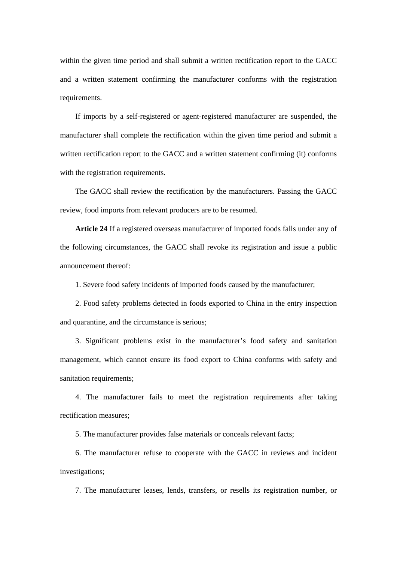within the given time period and shall submit a written rectification report to the GACC and a written statement confirming the manufacturer conforms with the registration requirements.

If imports by a self-registered or agent-registered manufacturer are suspended, the manufacturer shall complete the rectification within the given time period and submit a written rectification report to the GACC and a written statement confirming (it) conforms with the registration requirements.

The GACC shall review the rectification by the manufacturers. Passing the GACC review, food imports from relevant producers are to be resumed.

**Article 24** If a registered overseas manufacturer of imported foods falls under any of the following circumstances, the GACC shall revoke its registration and issue a public announcement thereof:

1. Severe food safety incidents of imported foods caused by the manufacturer;

2. Food safety problems detected in foods exported to China in the entry inspection and quarantine, and the circumstance is serious;

3. Significant problems exist in the manufacturer's food safety and sanitation management, which cannot ensure its food export to China conforms with safety and sanitation requirements;

4. The manufacturer fails to meet the registration requirements after taking rectification measures;

5. The manufacturer provides false materials or conceals relevant facts;

6. The manufacturer refuse to cooperate with the GACC in reviews and incident investigations;

7. The manufacturer leases, lends, transfers, or resells its registration number, or